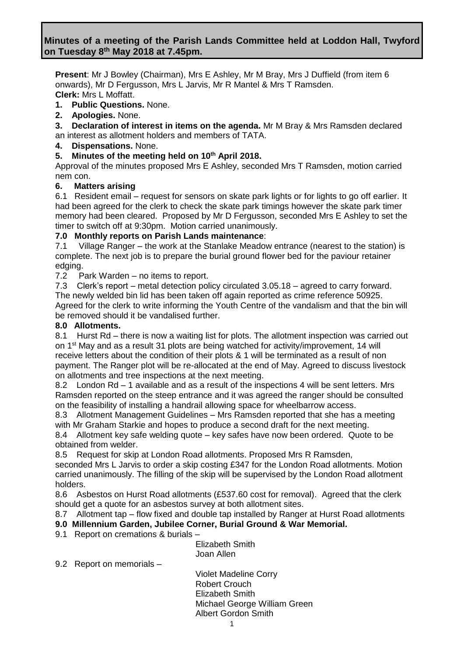# **Minutes of a meeting of the Parish Lands Committee held at Loddon Hall, Twyford on Tuesday 8 th May 2018 at 7.45pm.**

**Present**: Mr J Bowley (Chairman), Mrs E Ashley, Mr M Bray, Mrs J Duffield (from item 6 onwards), Mr D Fergusson, Mrs L Jarvis, Mr R Mantel & Mrs T Ramsden. **Clerk:** Mrs L Moffatt.

**1. Public Questions.** None.

**2. Apologies.** None.

**3. Declaration of interest in items on the agenda.** Mr M Bray & Mrs Ramsden declared an interest as allotment holders and members of TATA.

**4. Dispensations.** None.

## **5. Minutes of the meeting held on 10th April 2018.**

Approval of the minutes proposed Mrs E Ashley, seconded Mrs T Ramsden, motion carried nem con.

## **6. Matters arising**

6.1Resident email – request for sensors on skate park lights or for lights to go off earlier. It had been agreed for the clerk to check the skate park timings however the skate park timer memory had been cleared. Proposed by Mr D Fergusson, seconded Mrs E Ashley to set the timer to switch off at 9:30pm. Motion carried unanimously.

## **7.0 Monthly reports on Parish Lands maintenance**:

7.1 Village Ranger – the work at the Stanlake Meadow entrance (nearest to the station) is complete. The next job is to prepare the burial ground flower bed for the paviour retainer edging.

7.2 Park Warden – no items to report.

7.3 Clerk's report – metal detection policy circulated 3.05.18 – agreed to carry forward. The newly welded bin lid has been taken off again reported as crime reference 50925. Agreed for the clerk to write informing the Youth Centre of the vandalism and that the bin will be removed should it be vandalised further.

#### **8.0 Allotments.**

8.1 Hurst Rd – there is now a waiting list for plots. The allotment inspection was carried out on 1st May and as a result 31 plots are being watched for activity/improvement, 14 will receive letters about the condition of their plots & 1 will be terminated as a result of non payment. The Ranger plot will be re-allocated at the end of May. Agreed to discuss livestock on allotments and tree inspections at the next meeting.

8.2 London Rd – 1 available and as a result of the inspections 4 will be sent letters. Mrs Ramsden reported on the steep entrance and it was agreed the ranger should be consulted on the feasibility of installing a handrail allowing space for wheelbarrow access.

8.3 Allotment Management Guidelines – Mrs Ramsden reported that she has a meeting with Mr Graham Starkie and hopes to produce a second draft for the next meeting.

8.4 Allotment key safe welding quote – key safes have now been ordered. Quote to be obtained from welder.

8.5 Request for skip at London Road allotments. Proposed Mrs R Ramsden,

seconded Mrs L Jarvis to order a skip costing £347 for the London Road allotments. Motion carried unanimously. The filling of the skip will be supervised by the London Road allotment holders.

8.6 Asbestos on Hurst Road allotments (£537.60 cost for removal). Agreed that the clerk should get a quote for an asbestos survey at both allotment sites.

8.7 Allotment tap – flow fixed and double tap installed by Ranger at Hurst Road allotments

## **9.0 Millennium Garden, Jubilee Corner, Burial Ground & War Memorial.**

9.1 Report on cremations & burials –

Elizabeth Smith Joan Allen

9.2 Report on memorials –

Violet Madeline Corry Robert Crouch Elizabeth Smith Michael George William Green Albert Gordon Smith